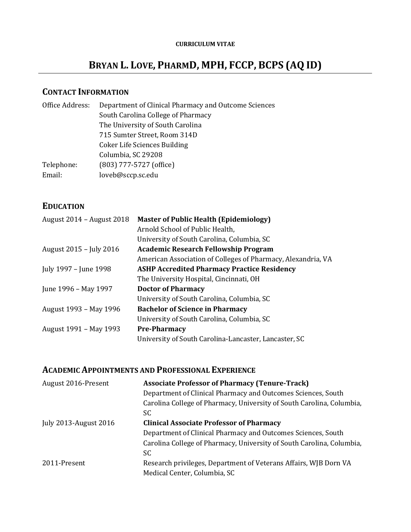# **BRYAN L. LOVE, PHARMD, MPH, FCCP, BCPS (AQ ID)**

# **CONTACT INFORMATION**

| Office Address: | Department of Clinical Pharmacy and Outcome Sciences |
|-----------------|------------------------------------------------------|
|                 | South Carolina College of Pharmacy                   |
|                 | The University of South Carolina                     |
|                 | 715 Sumter Street, Room 314D                         |
|                 | <b>Coker Life Sciences Building</b>                  |
|                 | Columbia, SC 29208                                   |
| Telephone:      | (803) 777-5727 (office)                              |
| Email:          | loveb@sccp.sc.edu                                    |
|                 |                                                      |

# **EDUCATION**

| August 2014 - August 2018 | <b>Master of Public Health (Epidemiology)</b>                |
|---------------------------|--------------------------------------------------------------|
|                           | Arnold School of Public Health,                              |
|                           | University of South Carolina, Columbia, SC                   |
| August 2015 – July 2016   | <b>Academic Research Fellowship Program</b>                  |
|                           | American Association of Colleges of Pharmacy, Alexandria, VA |
| July 1997 – June 1998     | <b>ASHP Accredited Pharmacy Practice Residency</b>           |
|                           | The University Hospital, Cincinnati, OH                      |
| June 1996 – May 1997      | <b>Doctor of Pharmacy</b>                                    |
|                           | University of South Carolina, Columbia, SC                   |
| August 1993 – May 1996    | <b>Bachelor of Science in Pharmacy</b>                       |
|                           | University of South Carolina, Columbia, SC                   |
| August 1991 – May 1993    | <b>Pre-Pharmacy</b>                                          |
|                           | University of South Carolina-Lancaster, Lancaster, SC        |
|                           |                                                              |

## **ACADEMIC APPOINTMENTS AND PROFESSIONAL EXPERIENCE**

| August 2016-Present          | <b>Associate Professor of Pharmacy (Tenure-Track)</b>                 |
|------------------------------|-----------------------------------------------------------------------|
|                              | Department of Clinical Pharmacy and Outcomes Sciences, South          |
|                              | Carolina College of Pharmacy, University of South Carolina, Columbia, |
|                              | SC                                                                    |
| <b>July 2013-August 2016</b> | <b>Clinical Associate Professor of Pharmacy</b>                       |
|                              | Department of Clinical Pharmacy and Outcomes Sciences, South          |
|                              | Carolina College of Pharmacy, University of South Carolina, Columbia, |
|                              | SC                                                                    |
| 2011-Present                 | Research privileges, Department of Veterans Affairs, WJB Dorn VA      |
|                              | Medical Center, Columbia, SC                                          |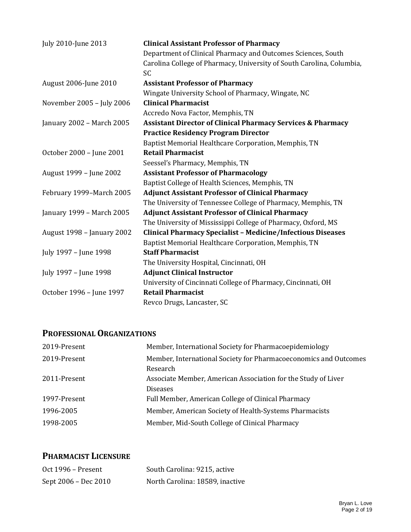| July 2010-June 2013        | <b>Clinical Assistant Professor of Pharmacy</b>                        |
|----------------------------|------------------------------------------------------------------------|
|                            | Department of Clinical Pharmacy and Outcomes Sciences, South           |
|                            | Carolina College of Pharmacy, University of South Carolina, Columbia,  |
|                            | SC.                                                                    |
| August 2006-June 2010      | <b>Assistant Professor of Pharmacy</b>                                 |
|                            | Wingate University School of Pharmacy, Wingate, NC                     |
| November 2005 - July 2006  | <b>Clinical Pharmacist</b>                                             |
|                            | Accredo Nova Factor, Memphis, TN                                       |
| January 2002 - March 2005  | <b>Assistant Director of Clinical Pharmacy Services &amp; Pharmacy</b> |
|                            | <b>Practice Residency Program Director</b>                             |
|                            | Baptist Memorial Healthcare Corporation, Memphis, TN                   |
| October 2000 - June 2001   | <b>Retail Pharmacist</b>                                               |
|                            | Seessel's Pharmacy, Memphis, TN                                        |
| August 1999 - June 2002    | <b>Assistant Professor of Pharmacology</b>                             |
|                            | Baptist College of Health Sciences, Memphis, TN                        |
| February 1999-March 2005   | <b>Adjunct Assistant Professor of Clinical Pharmacy</b>                |
|                            | The University of Tennessee College of Pharmacy, Memphis, TN           |
| January 1999 - March 2005  | <b>Adjunct Assistant Professor of Clinical Pharmacy</b>                |
|                            | The University of Mississippi College of Pharmacy, Oxford, MS          |
| August 1998 - January 2002 | <b>Clinical Pharmacy Specialist - Medicine/Infectious Diseases</b>     |
|                            | Baptist Memorial Healthcare Corporation, Memphis, TN                   |
| July 1997 - June 1998      | <b>Staff Pharmacist</b>                                                |
|                            | The University Hospital, Cincinnati, OH                                |
| July 1997 - June 1998      | <b>Adjunct Clinical Instructor</b>                                     |
|                            | University of Cincinnati College of Pharmacy, Cincinnati, OH           |
| October 1996 - June 1997   | <b>Retail Pharmacist</b>                                               |
|                            | Revco Drugs, Lancaster, SC                                             |

### **PROFESSIONAL ORGANIZATIONS**

| 2019-Present | Member, International Society for Pharmacoepidemiology           |
|--------------|------------------------------------------------------------------|
| 2019-Present | Member, International Society for Pharmacoeconomics and Outcomes |
|              | Research                                                         |
| 2011-Present | Associate Member, American Association for the Study of Liver    |
|              | <b>Diseases</b>                                                  |
| 1997-Present | Full Member, American College of Clinical Pharmacy               |
| 1996-2005    | Member, American Society of Health-Systems Pharmacists           |
| 1998-2005    | Member, Mid-South College of Clinical Pharmacy                   |

# **PHARMACIST LICENSURE**

| Oct $1996$ – Present | South Carolina: 9215, active    |
|----------------------|---------------------------------|
| Sept 2006 – Dec 2010 | North Carolina: 18589, inactive |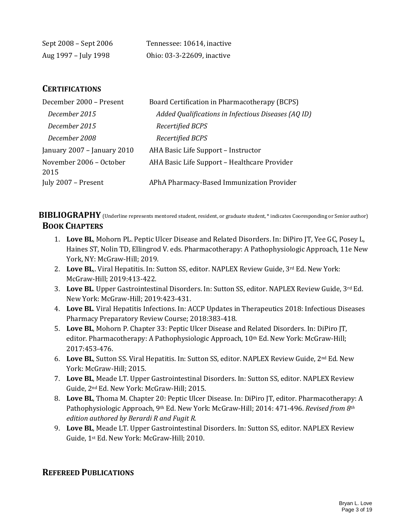| Sept 2008 – Sept 2006 | Tennessee: 10614, inactive |
|-----------------------|----------------------------|
| Aug 1997 – July 1998  | Ohio: 03-3-22609, inactive |

#### **CERTIFICATIONS**

| December 2000 - Present         | Board Certification in Pharmacotherapy (BCPS)       |
|---------------------------------|-----------------------------------------------------|
| December 2015                   | Added Qualifications in Infectious Diseases (AQ ID) |
| December 2015                   | Recertified BCPS                                    |
| December 2008                   | Recertified BCPS                                    |
| January 2007 - January 2010     | AHA Basic Life Support – Instructor                 |
| November 2006 - October<br>2015 | AHA Basic Life Support - Healthcare Provider        |
| July 2007 - Present             | APhA Pharmacy-Based Immunization Provider           |

**BIBLIOGRAPHY** (Underline represents mentored student, resident, or graduate student, \* indicates Cooresponding or Senior author) **BOOK CHAPTERS**

- 1. **Love BL**, Mohorn PL. Peptic Ulcer Disease and Related Disorders. In: DiPiro JT, Yee GC, Posey L, Haines ST, Nolin TD, Ellingrod V. eds. Pharmacotherapy: A Pathophysiologic Approach, 11e New York, NY: McGraw-Hill; 2019.
- 2. Love BL,. Viral Hepatitis. In: Sutton SS, editor. NAPLEX Review Guide, 3rd Ed. New York: McGraw-Hill; 2019:413-422.
- 3. **Love BL**. Upper Gastrointestinal Disorders. In: Sutton SS, editor. NAPLEX Review Guide, 3rd Ed. New York: McGraw-Hill; 2019:423-431.
- 4. **Love BL**. Viral Hepatitis Infections. In: ACCP Updates in Therapeutics 2018: Infectious Diseases Pharmacy Preparatory Review Course; 2018:383-418.
- 5. **Love BL**, Mohorn P. Chapter 33: Peptic Ulcer Disease and Related Disorders. In: DiPiro JT, editor. Pharmacotherapy: A Pathophysiologic Approach, 10th Ed. New York: McGraw-Hill; 2017:453-476.
- 6. **Love BL**, Sutton SS. Viral Hepatitis. In: Sutton SS, editor. NAPLEX Review Guide, 2nd Ed. New York: McGraw-Hill; 2015.
- 7. **Love BL**, Meade LT. Upper Gastrointestinal Disorders. In: Sutton SS, editor. NAPLEX Review Guide, 2nd Ed. New York: McGraw-Hill; 2015.
- 8. **Love BL**, Thoma M. Chapter 20: Peptic Ulcer Disease. In: DiPiro JT, editor. Pharmacotherapy: A Pathophysiologic Approach, 9th Ed. New York: McGraw-Hill; 2014: 471-496. *Revised from 8th edition authored by Berardi R and Fugit R.*
- 9. **Love BL**, Meade LT. Upper Gastrointestinal Disorders. In: Sutton SS, editor. NAPLEX Review Guide, 1st Ed. New York: McGraw-Hill; 2010.

### **REFEREED PUBLICATIONS**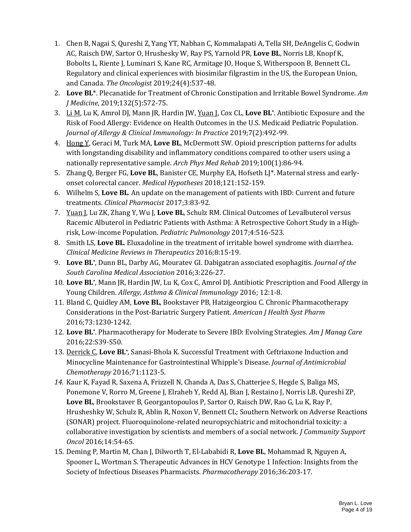- 1. Chen B, Nagai S, Qureshi Z, Yang YT, Nabhan C, Kommalapati A, Tella SH, DeAngelis C, Godwin AC, Raisch DW, Sartor O, Hrushesky W, Ray PS, Yarnold PR, **Love BL**, Norris LB, Knopf K, Bobolts L, Riente J, Luminari S, Kane RC, Armitage JO, Hoque S, Witherspoon B, Bennett CL. Regulatory and clinical experiences with biosimilar filgrastim in the US, the European Union, and Canada. *The Oncologist* 2019;24(4):537-48.
- 2. **Love BL**\*. Plecanatide for Treatment of Chronic Constipation and Irritable Bowel Syndrome. *Am J Medicine*, 2019;132(5):572-75.
- 3. Li M, Lu K, Amrol DJ, Mann JR, Hardin JW, Yuan J, Cox CL, **Love BL\*** . Antibiotic Exposure and the Risk of Food Allergy: Evidence on Health Outcomes in the U.S. Medicaid Pediatric Population. *Journal of Allergy & Clinical Immunology: In Practice* 2019;7(2):492-99.
- 4. Hong Y, Geraci M, Turk MA, **Love BL**, McDermott SW. Opioid prescription patterns for adults with longstanding disability and inflammatory conditions compared to other users using a nationally representative sample. *Arch Phys Med Rehab* 2019;100(1):86-94.
- 5. Zhang Q, Berger FG, **Love BL**, Banister CE, Murphy EA, Hofseth LJ\*. Maternal stress and earlyonset colorectal cancer. *Medical Hypotheses* 2018;121:152-159.
- 6. Wilhelm S, **Love BL**. An update on the management of patients with IBD: Current and future treatments. *Clinical Pharmacist* 2017;3:83-92.
- 7. Yuan J, Lu ZK, Zhang Y, Wu J, **Love BL**, Schulz RM. Clinical Outcomes of Levalbuterol versus Racemic Albuterol in Pediatric Patients with Asthma: A Retrospective Cohort Study in a Highrisk, Low-income Population. *Pediatric Pulmonology* 2017;4:516-523.
- 8. Smith LS, **Love BL**. Eluxadoline in the treatment of irritable bowel syndrome with diarrhea. *Clinical Medicine Reviews in Therapeutics* 2016;8:15-19.
- 9. **Love BL\*** , Dunn BL, Darby AG, Mouratev GI. Dabigatran associated esophagitis. *Journal of the South Carolina Medical Association* 2016;3:226-27.
- 10. **Love BL\*** , Mann JR, Hardin JW, Lu K, Cox C, Amrol DJ. Antibiotic Prescription and Food Allergy in Young Children. *Allergy, Asthma & Clinical Immunology* 2016; 12:1-8.
- 11. Bland C, Quidley AM, **Love BL**, Bookstaver PB, Hatzigeorgiou C. Chronic Pharmacotherapy Considerations in the Post-Bariatric Surgery Patient. *American J Health Syst Pharm* 2016;73:1230-1242.
- 12. **Love BL\*** . Pharmacotherapy for Moderate to Severe IBD: Evolving Strategies. *Am J Manag Care*  2016;22:S39-S50.
- 13. Derrick C, **Love BL\*** , Sanasi-Bhola K. Successful Treatment with Ceftriaxone Induction and Minocycline Maintenance for Gastrointestinal Whipple's Disease. *Journal of Antimicrobial Chemotherapy* 2016;71:1123-5.
- *14.* Kaur K, Fayad R, Saxena A, Frizzell N, Chanda A, Das S, Chatterjee S, Hegde S, Baliga MS, Ponemone V, Rorro M, Greene J, Elraheb Y, Redd AJ, Bian J, Restaino J, Norris LB, Qureshi ZP, **Love BL**, Brookstaver B, Georgantopoulos P, Sartor O, Raisch DW, Rao G, Lu K, Ray P, Hrusheshky W, Schulz R, Ablin R, Noxon V, Bennett CL; Southern Network on Adverse Reactions (SONAR) project. Fluoroquinolone-related neuropsychiatric and mitochondrial toxicity: a collaborative investigation by scientists and members of a social network. *J Community Support Oncol* 2016;14:54-65.
- 15. Deming P, Martin M, Chan J, Dilworth T, El-Lababidi R, **Love BL**, Mohammad R, Nguyen A, Spooner L, Wortman S. Therapeutic Advances in HCV Genotype 1 Infection: Insights from the Society of Infectious Diseases Pharmacists. *Pharmacotherapy* 2016;36:203-17.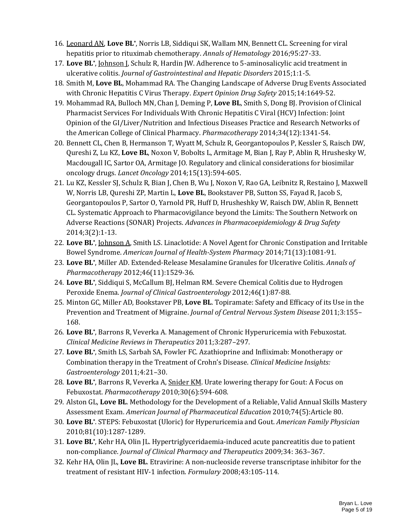- 16. Leonard AN, **Love BL\*** , Norris LB, Siddiqui SK, Wallam MN, Bennett CL. Screening for viral hepatitis prior to rituximab chemotherapy. *Annals of Hematology* 2016;95:27-33.
- 17. **Love BL\*** , Johnson J, Schulz R, Hardin JW. Adherence to 5-aminosalicylic acid treatment in ulcerative colitis. *Journal of Gastrointestinal and Hepatic Disorders* 2015;1:1-5.
- 18. Smith M, **Love BL**, Mohammad RA. The Changing Landscape of Adverse Drug Events Associated with Chronic Hepatitis C Virus Therapy. *Expert Opinion Drug Safety* 2015;14:1649-52.
- 19. Mohammad RA, Bulloch MN, Chan J, Deming P, **Love BL**, Smith S, Dong BJ. Provision of Clinical Pharmacist Services For Individuals With Chronic Hepatitis C Viral (HCV) Infection: Joint Opinion of the GI/Liver/Nutrition and Infectious Diseases Practice and Research Networks of the American College of Clinical Pharmacy. *Pharmacotherapy* 2014;34(12):1341-54.
- 20. Bennett CL, Chen B, Hermanson T, Wyatt M, Schulz R, Georgantopoulos P, Kessler S, Raisch DW, Qureshi Z, Lu KZ, **Love BL**, Noxon V, Bobolts L, Armitage M, Bian J, Ray P, Ablin R, Hrushesky W, Macdougall IC, Sartor OA, Armitage JO. Regulatory and clinical considerations for biosimilar oncology drugs. *Lancet Oncology* 2014;15(13):594-605.
- 21. Lu KZ, Kessler SJ, Schulz R, Bian J, Chen B, Wu J, Noxon V, Rao GA, Leibnitz R, Restaino J, Maxwell W, Norris LB, Qureshi ZP, Martin L, **Love BL**, Bookstaver PB, Sutton SS, Fayad R, Jacob S, Georgantopoulos P, Sartor O, Yarnold PR, Huff D, Hrusheshky W, Raisch DW, Ablin R, Bennett CL. Systematic Approach to Pharmacovigilance beyond the Limits: The Southern Network on Adverse Reactions (SONAR) Projects. *Advances in Pharmacoepidemiology & Drug Safety* 2014;3(2):1-13.
- 22. **Love BL\*** , Johnson A, Smith LS. Linaclotide: A Novel Agent for Chronic Constipation and Irritable Bowel Syndrome. *American Journal of Health-System Pharmacy* 2014;71(13):1081-91.
- 23. **Love BL\*** , Miller AD. Extended-Release Mesalamine Granules for Ulcerative Colitis. *Annals of Pharmacotherapy* 2012;46(11):1529-36.
- 24. **Love BL\*** , Siddiqui S, McCallum BJ, Helman RM. Severe Chemical Colitis due to Hydrogen Peroxide Enema. *Journal of Clinical Gastroenterology* 2012;46(1):87-88.
- 25. Minton GC, Miller AD, Bookstaver PB, **Love BL**. Topiramate: Safety and Efficacy of its Use in the Prevention and Treatment of Migraine. *Journal of Central Nervous System Disease* 2011;3:155– 168.
- 26. **Love BL\*** , Barrons R, Veverka A. Management of Chronic Hyperuricemia with Febuxostat. *Clinical Medicine Reviews in Therapeutics* 2011;3:287–297.
- 27. **Love BL\*** , Smith LS, Sarbah SA, Fowler FC. Azathioprine and Infliximab: Monotherapy or Combination therapy in the Treatment of Crohn's Disease. *Clinical Medicine Insights: Gastroenterology* 2011;4:21–30.
- 28. **Love BL\*** , Barrons R, Veverka A, Snider KM. Urate lowering therapy for Gout: A Focus on Febuxostat. *Pharmacotherapy* 2010;30(6):594-608.
- 29. Alston GL, **Love BL**. Methodology for the Development of a Reliable, Valid Annual Skills Mastery Assessment Exam. *American Journal of Pharmaceutical Education* 2010;74(5):Article 80.
- 30. **Love BL\*** . STEPS: Febuxostat (Uloric) for Hyperuricemia and Gout. *American Family Physician* 2010;81(10):1287-1289.
- 31. **Love BL\*** , Kehr HA, Olin JL. Hypertriglyceridaemia-induced acute pancreatitis due to patient non-compliance. *Journal of Clinical Pharmacy and Therapeutics* 2009;34: 363–367.
- 32. Kehr HA, Olin JL, **Love BL**. Etravirine: A non-nucleoside reverse transcriptase inhibitor for the treatment of resistant HIV-1 infection. *Formulary* 2008;43:105-114.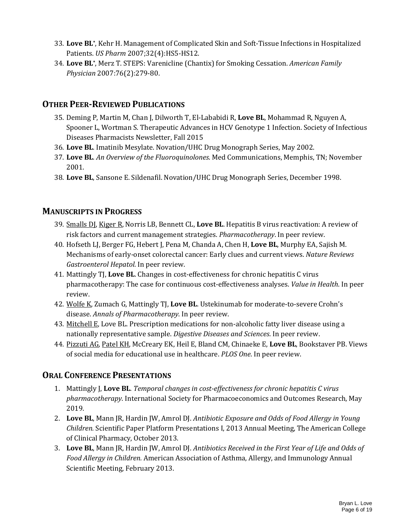- 33. **Love BL\*** , Kehr H. Management of Complicated Skin and Soft-Tissue Infections in Hospitalized Patients. *US Pharm* 2007;32(4):HS5-HS12.
- 34. **Love BL\*** , Merz T. STEPS: Varenicline (Chantix) for Smoking Cessation. *American Family Physician* 2007:76(2):279-80.

### **OTHER PEER-REVIEWED PUBLICATIONS**

- 35. Deming P, Martin M, Chan J, Dilworth T, El-Lababidi R, **Love BL**, Mohammad R, Nguyen A, Spooner L, Wortman S. Therapeutic Advances in HCV Genotype 1 Infection. Society of Infectious Diseases Pharmacists Newsletter, Fall 2015
- 36. **Love BL**. Imatinib Mesylate. Novation/UHC Drug Monograph Series, May 2002.
- 37. **Love BL**. *An Overview of the Fluoroquinolones*. Med Communications, Memphis, TN; November 2001.
- 38. **Love BL**, Sansone E. Sildenafil. Novation/UHC Drug Monograph Series, December 1998.

### **MANUSCRIPTS IN PROGRESS**

- 39. Smalls DJ, Kiger R, Norris LB, Bennett CL, **Love BL**. Hepatitis B virus reactivation: A review of risk factors and current management strategies. *Pharmacotherapy*. In peer review.
- 40. Hofseth LJ, Berger FG, Hebert J, Pena M, Chanda A, Chen H, **Love BL**, Murphy EA, Sajish M. Mechanisms of early-onset colorectal cancer: Early clues and current views. *Nature Reviews Gastroenterol Hepatol.* In peer review.
- 41. Mattingly TJ, **Love BL**. Changes in cost-effectiveness for chronic hepatitis C virus pharmacotherapy: The case for continuous cost-effectiveness analyses. *Value in Health*. In peer review.
- 42. Wolfe K, Zumach G, Mattingly TJ, **Love BL**. Ustekinumab for moderate-to-severe Crohn's disease. *Annals of Pharmacotherapy*. In peer review.
- 43. Mitchell E, Love BL. Prescription medications for non-alcoholic fatty liver disease using a nationally representative sample. *Digestive Diseases and Sciences*. In peer review.
- 44. Pizzuti AG, Patel KH, McCreary EK, Heil E, Bland CM, Chinaeke E, **Love BL**, Bookstaver PB. Views of social media for educational use in healthcare. *PLOS One*. In peer review.

### **ORAL CONFERENCE PRESENTATIONS**

- 1. Mattingly J, **Love BL**. *Temporal changes in cost-effectiveness for chronic hepatitis C virus pharmacotherapy*. International Society for Pharmacoeconomics and Outcomes Research, May 2019.
- 2. **Love BL**, Mann JR, Hardin JW, Amrol DJ. *Antibiotic Exposure and Odds of Food Allergy in Young Children.* Scientific Paper Platform Presentations I, 2013 Annual Meeting, The American College of Clinical Pharmacy, October 2013.
- 3. **Love BL**, Mann JR, Hardin JW, Amrol DJ. *Antibiotics Received in the First Year of Life and Odds of Food Allergy in Children.* American Association of Asthma, Allergy, and Immunology Annual Scientific Meeting, February 2013.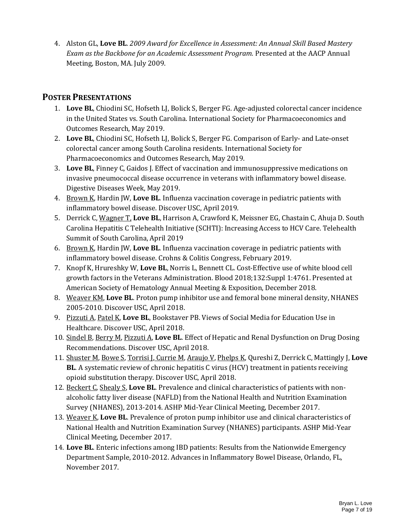4. Alston GL, **Love BL**. *2009 Award for Excellence in Assessment: An Annual Skill Based Mastery Exam as the Backbone for an Academic Assessment Program.* Presented at the AACP Annual Meeting, Boston, MA. July 2009.

# **POSTER PRESENTATIONS**

- 1. **Love BL**, Chiodini SC, Hofseth LJ, Bolick S, Berger FG. Age-adjusted colorectal cancer incidence in the United States vs. South Carolina. International Society for Pharmacoeconomics and Outcomes Research, May 2019.
- 2. **Love BL**, Chiodini SC, Hofseth LJ, Bolick S, Berger FG. Comparison of Early- and Late-onset colorectal cancer among South Carolina residents. International Society for Pharmacoeconomics and Outcomes Research, May 2019.
- 3. **Love BL**, Finney C, Gaidos J. Effect of vaccination and immunosuppressive medications on invasive pneumococcal disease occurrence in veterans with inflammatory bowel disease. Digestive Diseases Week, May 2019.
- 4. Brown K, Hardin JW, **Love BL**. Influenza vaccination coverage in pediatric patients with inflammatory bowel disease. Discover USC, April 2019.
- 5. Derrick C, Wagner T, **Love BL**, Harrison A, Crawford K, Meissner EG, Chastain C, Ahuja D. South Carolina Hepatitis C Telehealth Initiative (SCHTI): Increasing Access to HCV Care. Telehealth Summit of South Carolina, April 2019
- 6. Brown K, Hardin JW, **Love BL**. Influenza vaccination coverage in pediatric patients with inflammatory bowel disease. Crohns & Colitis Congress, February 2019.
- 7. Knopf K, Hrureshky W, **Love BL**, Norris L, Bennett CL. Cost-Effective use of white blood cell growth factors in the Veterans Administration. Blood 2018;132:Suppl 1:4761. Presented at American Society of Hematology Annual Meeting & Exposition, December 2018.
- 8. Weaver KM, **Love BL**. Proton pump inhibitor use and femoral bone mineral density, NHANES 2005-2010. Discover USC, April 2018.
- 9. Pizzuti A, Patel K, **Love BL**, Bookstaver PB. Views of Social Media for Education Use in Healthcare. Discover USC, April 2018.
- 10. Sindel B, Berry M, Pizzuti A, **Love BL**. Effect of Hepatic and Renal Dysfunction on Drug Dosing Recommendations. Discover USC, April 2018.
- 11. Shuster M, Bowe S, Torrisi J, Currie M, Araujo V, Phelps K, Qureshi Z, Derrick C, Mattingly J, **Love BL**. A systematic review of chronic hepatitis C virus (HCV) treatment in patients receiving opioid substitution therapy. Discover USC, April 2018.
- 12. Beckert C, Shealy S, **Love BL**. Prevalence and clinical characteristics of patients with nonalcoholic fatty liver disease (NAFLD) from the National Health and Nutrition Examination Survey (NHANES), 2013-2014. ASHP Mid-Year Clinical Meeting, December 2017.
- 13. Weaver K, **Love BL**. Prevalence of proton pump inhibitor use and clinical characteristics of National Health and Nutrition Examination Survey (NHANES) participants. ASHP Mid-Year Clinical Meeting, December 2017.
- 14. **Love BL**. Enteric infections among IBD patients: Results from the Nationwide Emergency Department Sample, 2010-2012. Advances in Inflammatory Bowel Disease, Orlando, FL, November 2017.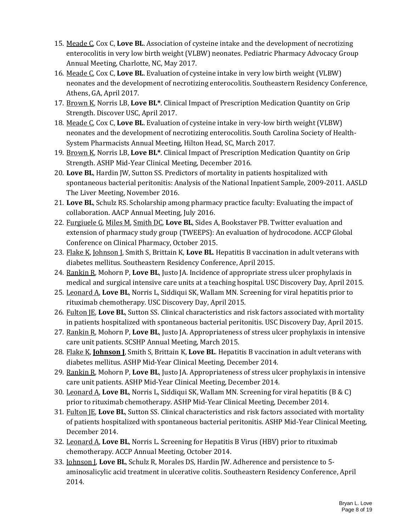- 15. Meade C, Cox C, **Love BL**. Association of cysteine intake and the development of necrotizing enterocolitis in very low birth weight (VLBW) neonates. Pediatric Pharmacy Advocacy Group Annual Meeting, Charlotte, NC, May 2017.
- 16. Meade C, Cox C, **Love BL**. Evaluation of cysteine intake in very low birth weight (VLBW) neonates and the development of necrotizing enterocolitis. Southeastern Residency Conference, Athens, GA, April 2017.
- 17. Brown K, Norris LB, **Love BL\***. Clinical Impact of Prescription Medication Quantity on Grip Strength. Discover USC, April 2017.
- 18. Meade C, Cox C, **Love BL**. Evaluation of cysteine intake in very-low birth weight (VLBW) neonates and the development of necrotizing enterocolitis. South Carolina Society of Health-System Pharmacists Annual Meeting, Hilton Head, SC, March 2017.
- 19. Brown K, Norris LB, **Love BL\***. Clinical Impact of Prescription Medication Quantity on Grip Strength. ASHP Mid-Year Clinical Meeting, December 2016.
- 20. **Love BL**, Hardin JW, Sutton SS. Predictors of mortality in patients hospitalized with spontaneous bacterial peritonitis: Analysis of the National Inpatient Sample, 2009-2011. AASLD The Liver Meeting, November 2016.
- 21. **Love BL**, Schulz RS. Scholarship among pharmacy practice faculty: Evaluating the impact of collaboration. AACP Annual Meeting, July 2016.
- 22. Furgiuele G, Miles M, Smith DC, **Love BL**, Sides A, Bookstaver PB. Twitter evaluation and extension of pharmacy study group (TWEEPS): An evaluation of hydrocodone. ACCP Global Conference on Clinical Pharmacy, October 2015.
- 23. Flake K, Johnson J, Smith S, Brittain K, **Love BL**. Hepatitis B vaccination in adult veterans with diabetes mellitus. Southeastern Residency Conference, April 2015.
- 24. Rankin R, Mohorn P, **Love BL**, Justo JA. Incidence of appropriate stress ulcer prophylaxis in medical and surgical intensive care units at a teaching hospital. USC Discovery Day, April 2015.
- 25. Leonard A, **Love BL**, Norris L, Siddiqui SK, Wallam MN. Screening for viral hepatitis prior to rituximab chemotherapy. USC Discovery Day, April 2015.
- 26. Fulton JE, **Love BL**, Sutton SS. Clinical characteristics and risk factors associated with mortality in patients hospitalized with spontaneous bacterial peritonitis. USC Discovery Day, April 2015.
- 27. Rankin R, Mohorn P, **Love BL**, Justo JA. Appropriateness of stress ulcer prophylaxis in intensive care unit patients. SCSHP Annual Meeting, March 2015.
- 28. Flake K, **Johnson J**, Smith S, Brittain K, **Love BL**. Hepatitis B vaccination in adult veterans with diabetes mellitus. ASHP Mid-Year Clinical Meeting, December 2014.
- 29. Rankin R, Mohorn P, **Love BL**, Justo JA. Appropriateness of stress ulcer prophylaxis in intensive care unit patients. ASHP Mid-Year Clinical Meeting, December 2014.
- 30. Leonard A, **Love BL**, Norris L, Siddiqui SK, Wallam MN. Screening for viral hepatitis (B & C) prior to rituximab chemotherapy. ASHP Mid-Year Clinical Meeting, December 2014.
- 31. Fulton JE, **Love BL**, Sutton SS. Clinical characteristics and risk factors associated with mortality of patients hospitalized with spontaneous bacterial peritonitis. ASHP Mid-Year Clinical Meeting, December 2014.
- 32. Leonard A, **Love BL**, Norris L. Screening for Hepatitis B Virus (HBV) prior to rituximab chemotherapy. ACCP Annual Meeting, October 2014.
- 33. Johnson J, **Love BL**, Schulz R, Morales DS, Hardin JW. Adherence and persistence to 5 aminosalicylic acid treatment in ulcerative colitis. Southeastern Residency Conference, April 2014.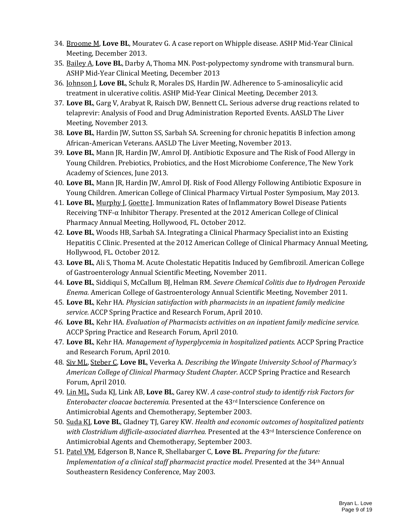- 34. Broome M, **Love BL**, Mouratev G. A case report on Whipple disease. ASHP Mid-Year Clinical Meeting, December 2013.
- 35. Bailey A, **Love BL**, Darby A, Thoma MN. Post-polypectomy syndrome with transmural burn. ASHP Mid-Year Clinical Meeting, December 2013
- 36. Johnson J, **Love BL**, Schulz R, Morales DS, Hardin JW. Adherence to 5-aminosalicylic acid treatment in ulcerative colitis. ASHP Mid-Year Clinical Meeting, December 2013.
- 37. **Love BL**, Garg V, Arabyat R, Raisch DW, Bennett CL. Serious adverse drug reactions related to telaprevir: Analysis of Food and Drug Administration Reported Events. AASLD The Liver Meeting, November 2013.
- 38. **Love BL**, Hardin JW, Sutton SS, Sarbah SA. Screening for chronic hepatitis B infection among African-American Veterans. AASLD The Liver Meeting, November 2013.
- 39. **Love BL**, Mann JR, Hardin JW, Amrol DJ. Antibiotic Exposure and The Risk of Food Allergy in Young Children. Prebiotics, Probiotics, and the Host Microbiome Conference, The New York Academy of Sciences, June 2013.
- 40. **Love BL**, Mann JR, Hardin JW, Amrol DJ. Risk of Food Allergy Following Antibiotic Exposure in Young Children. American College of Clinical Pharmacy Virtual Poster Symposium, May 2013.
- 41. **Love BL**, Murphy J, Goette J. Immunization Rates of Inflammatory Bowel Disease Patients Receiving TNF-α Inhibitor Therapy. Presented at the 2012 American College of Clinical Pharmacy Annual Meeting, Hollywood, FL. October 2012.
- 42. **Love BL**, Woods HB, Sarbah SA. Integrating a Clinical Pharmacy Specialist into an Existing Hepatitis C Clinic. Presented at the 2012 American College of Clinical Pharmacy Annual Meeting, Hollywood, FL. October 2012.
- 43. **Love BL**, Ali S, Thoma M. Acute Cholestatic Hepatitis Induced by Gemfibrozil. American College of Gastroenterology Annual Scientific Meeting, November 2011.
- 44. **Love BL**, Siddiqui S, McCallum BJ, Helman RM. *Severe Chemical Colitis due to Hydrogen Peroxide Enema.* American College of Gastroenterology Annual Scientific Meeting, November 2011.
- 45. **Love BL**, Kehr HA. *Physician satisfaction with pharmacists in an inpatient family medicine service.* ACCP Spring Practice and Research Forum, April 2010.
- *46.* **Love BL**, Kehr HA. *Evaluation of Pharmacists activities on an inpatient family medicine service.* ACCP Spring Practice and Research Forum, April 2010.
- 47. **Love BL**, Kehr HA. *Management of hyperglycemia in hospitalized patients.* ACCP Spring Practice and Research Forum, April 2010.
- 48. Siv ML, Steber C, **Love BL**, Veverka A. *Describing the Wingate University School of Pharmacy's American College of Clinical Pharmacy Student Chapter.* ACCP Spring Practice and Research Forum, April 2010.
- 49. Lin ML, Suda KJ, Link AB, **Love BL**, Garey KW. *A case-control study to identify risk Factors for Enterobacter cloacae bacteremia.* Presented at the 43rd Interscience Conference on Antimicrobial Agents and Chemotherapy, September 2003.
- 50. Suda KJ, **Love BL**, Gladney TJ, Garey KW. *Health and economic outcomes of hospitalized patients with Clostridium difficile-associated diarrhea.* Presented at the 43rd Interscience Conference on Antimicrobial Agents and Chemotherapy, September 2003.
- 51. Patel VM, Edgerson B, Nance R, Shellabarger C, **Love BL**. *Preparing for the future: Implementation of a clinical staff pharmacist practice model.* Presented at the 34<sup>th</sup> Annual Southeastern Residency Conference, May 2003.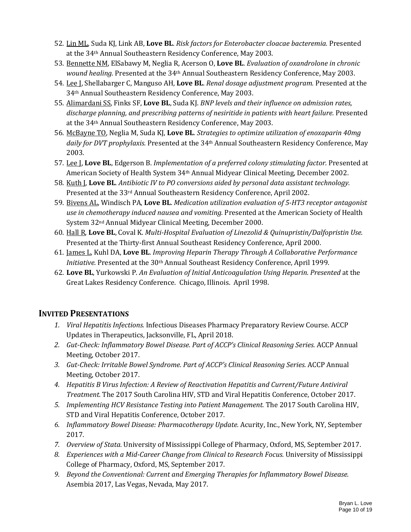- 52. Lin ML, Suda KJ, Link AB, **Love BL**. *Risk factors for Enterobacter cloacae bacteremia.* Presented at the 34th Annual Southeastern Residency Conference, May 2003.
- 53. Bennette NM, ElSabawy M, Neglia R, Acerson O, **Love BL**. *Evaluation of oxandrolone in chronic wound healing.* Presented at the 34th Annual Southeastern Residency Conference, May 2003.
- 54. Lee J, Shellabarger C, Manguso AH, **Love BL**. *Renal dosage adjustment program.* Presented at the 34th Annual Southeastern Residency Conference, May 2003.
- 55. Alimardani SS, Finks SF, **Love BL**, Suda KJ. *BNP levels and their influence on admission rates, discharge planning, and prescribing patterns of nesiritide in patients with heart failure.* Presented at the 34th Annual Southeastern Residency Conference, May 2003.
- 56. McBayne TO, Neglia M, Suda KJ, **Love BL**. *Strategies to optimize utilization of enoxaparin 40mg daily for DVT prophylaxis.* Presented at the 34th Annual Southeastern Residency Conference, May 2003.
- 57. Lee J, **Love BL**, Edgerson B. *Implementation of a preferred colony stimulating factor.* Presented at American Society of Health System 34th Annual Midyear Clinical Meeting, December 2002.
- 58. Kuth J, **Love BL**. *Antibiotic IV to PO conversions aided by personal data assistant technology.* Presented at the 33rd Annual Southeastern Residency Conference, April 2002.
- 59. Bivens AL, Windisch PA, **Love BL**. *Medication utilization evaluation of 5-HT3 receptor antagonist use in chemotherapy induced nausea and vomiting.* Presented at the American Society of Health System 32nd Annual Midyear Clinical Meeting, December 2000.
- 60. Hall R, **Love BL**, Coval K. *Multi-Hospital Evaluation of Linezolid & Quinupristin/Dalfopristin Use.* Presented at the Thirty-first Annual Southeast Residency Conference, April 2000.
- 61. James L, Kuhl DA, **Love BL**. *Improving Heparin Therapy Through A Collaborative Performance Initiative.* Presented at the 30<sup>th</sup> Annual Southeast Residency Conference, April 1999.
- 62. **Love BL**, Yurkowski P. *An Evaluation of Initial Anticoagulation Using Heparin. Presented* at the Great Lakes Residency Conference. Chicago, Illinois. April 1998.

### **INVITED PRESENTATIONS**

- *1. Viral Hepatitis Infections.* Infectious Diseases Pharmacy Preparatory Review Course. ACCP Updates in Therapeutics, Jacksonville, FL, April 2018.
- *2. Gut-Check: Inflammatory Bowel Disease. Part of ACCP's Clinical Reasoning Series.* ACCP Annual Meeting, October 2017.
- *3. Gut-Check: Irritable Bowel Syndrome. Part of ACCP's Clinical Reasoning Series.* ACCP Annual Meeting, October 2017.
- *4. Hepatitis B Virus Infection: A Review of Reactivation Hepatitis and Current/Future Antiviral Treatment.* The 2017 South Carolina HIV, STD and Viral Hepatitis Conference, October 2017.
- *5. Implementing HCV Resistance Testing into Patient Management.* The 2017 South Carolina HIV, STD and Viral Hepatitis Conference, October 2017.
- *6. Inflammatory Bowel Disease: Pharmacotherapy Update.* Acurity, Inc., New York, NY, September 2017.
- *7. Overview of Stata.* University of Mississippi College of Pharmacy, Oxford, MS, September 2017.
- *8. Experiences with a Mid-Career Change from Clinical to Research Focus.* University of Mississippi College of Pharmacy, Oxford, MS, September 2017.
- *9. Beyond the Conventional: Current and Emerging Therapies for Inflammatory Bowel Disease.*  Asembia 2017, Las Vegas, Nevada, May 2017.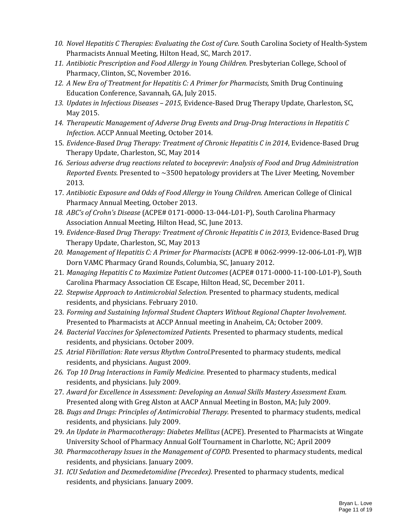- *10. Novel Hepatitis C Therapies: Evaluating the Cost of Cure.* South Carolina Society of Health-System Pharmacists Annual Meeting, Hilton Head, SC, March 2017.
- *11. Antibiotic Prescription and Food Allergy in Young Children.* Presbyterian College, School of Pharmacy, Clinton, SC, November 2016.
- 12. A New Era of Treatment for Hepatitis C: A Primer for Pharmacists, Smith Drug Continuing Education Conference, Savannah, GA, July 2015.
- *13. Updates in Infectious Diseases – 2015,* Evidence-Based Drug Therapy Update, Charleston, SC, May 2015.
- *14. Therapeutic Management of Adverse Drug Events and Drug-Drug Interactions in Hepatitis C Infection.* ACCP Annual Meeting, October 2014.
- 15. *Evidence-Based Drug Therapy: Treatment of Chronic Hepatitis C in 2014*, Evidence-Based Drug Therapy Update, Charleston, SC, May 2014
- *16. Serious adverse drug reactions related to boceprevir: Analysis of Food and Drug Administration Reported Events.* Presented to ~3500 hepatology providers at The Liver Meeting, November 2013.
- 17. *Antibiotic Exposure and Odds of Food Allergy in Young Children.* American College of Clinical Pharmacy Annual Meeting, October 2013.
- *18. ABC's of Crohn's Disease* (ACPE# 0171-0000-13-044-L01-P), South Carolina Pharmacy Association Annual Meeting, Hilton Head, SC, June 2013.
- 19. *Evidence-Based Drug Therapy: Treatment of Chronic Hepatitis C in 2013*, Evidence-Based Drug Therapy Update, Charleston, SC, May 2013
- *20. Management of Hepatitis C: A Primer for Pharmacists* (ACPE # 0062-9999-12-006-L01-P), WJB Dorn VAMC Pharmacy Grand Rounds, Columbia, SC, January 2012.
- 21. *Managing Hepatitis C to Maximize Patient Outcomes* (ACPE# 0171‐0000‐11‐100‐L01‐P), South Carolina Pharmacy Association CE Escape, Hilton Head, SC, December 2011.
- *22. Stepwise Approach to Antimicrobial Selection.* Presented to pharmacy students, medical residents, and physicians. February 2010.
- 23. *Forming and Sustaining Informal Student Chapters Without Regional Chapter Involvement*. Presented to Pharmacists at ACCP Annual meeting in Anaheim, CA; October 2009.
- *24. Bacterial Vaccines for Splenectomized Patients.* Presented to pharmacy students, medical residents, and physicians. October 2009.
- *25. Atrial Fibrillation: Rate versus Rhythm Control.*Presented to pharmacy students, medical residents, and physicians. August 2009.
- *26. Top 10 Drug Interactions in Family Medicine.* Presented to pharmacy students, medical residents, and physicians. July 2009.
- 27. *Award for Excellence in Assessment: Developing an Annual Skills Mastery Assessment Exam.* Presented along with Greg Alston at AACP Annual Meeting in Boston, MA; July 2009.
- 28. *Bugs and Drugs: Principles of Antimicrobial Therapy.* Presented to pharmacy students, medical residents, and physicians. July 2009.
- 29. *An Update in Pharmacotherapy: Diabetes Mellitus* (ACPE). Presented to Pharmacists at Wingate University School of Pharmacy Annual Golf Tournament in Charlotte, NC; April 2009
- *30. Pharmacotherapy Issues in the Management of COPD.* Presented to pharmacy students, medical residents, and physicians. January 2009.
- *31. ICU Sedation and Dexmedetomidine (Precedex).* Presented to pharmacy students, medical residents, and physicians. January 2009.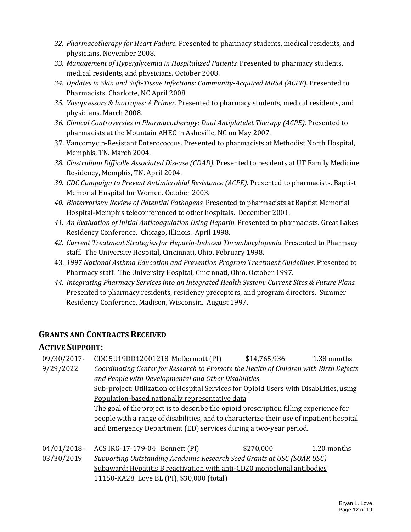- *32. Pharmacotherapy for Heart Failure.* Presented to pharmacy students, medical residents, and physicians. November 2008.
- *33. Management of Hyperglycemia in Hospitalized Patients.* Presented to pharmacy students, medical residents, and physicians. October 2008.
- *34. Updates in Skin and Soft-Tissue Infections: Community-Acquired MRSA (ACPE).* Presented to Pharmacists. Charlotte, NC April 2008
- *35. Vasopressors & Inotropes: A Primer.* Presented to pharmacy students, medical residents, and physicians. March 2008.
- *36. Clinical Controversies in Pharmacotherapy: Dual Antiplatelet Therapy (ACPE).* Presented to pharmacists at the Mountain AHEC in Asheville, NC on May 2007.
- 37. Vancomycin-Resistant Enterococcus. Presented to pharmacists at Methodist North Hospital, Memphis, TN. March 2004.
- *38. Clostridium Difficille Associated Disease (CDAD).* Presented to residents at UT Family Medicine Residency, Memphis, TN. April 2004.
- *39. CDC Campaign to Prevent Antimicrobial Resistance (ACPE).* Presented to pharmacists. Baptist Memorial Hospital for Women. October 2003.
- *40. Bioterrorism: Review of Potential Pathogens.* Presented to pharmacists at Baptist Memorial Hospital-Memphis teleconferenced to other hospitals. December 2001.
- *41. An Evaluation of Initial Anticoagulation Using Heparin.* Presented to pharmacists. Great Lakes Residency Conference. Chicago, Illinois. April 1998.
- *42. Current Treatment Strategies for Heparin-Induced Thrombocytopenia.* Presented to Pharmacy staff. The University Hospital, Cincinnati, Ohio. February 1998.
- 43. *1997 National Asthma Education and Prevention Program Treatment Guidelines.* Presented to Pharmacy staff. The University Hospital, Cincinnati, Ohio. October 1997.
- *44. Integrating Pharmacy Services into an Integrated Health System: Current Sites & Future Plans.*  Presented to pharmacy residents, residency preceptors, and program directors. Summer Residency Conference, Madison, Wisconsin. August 1997.

### **GRANTS AND CONTRACTS RECEIVED**

### **ACTIVE SUPPORT:**

| 09/30/2017- | CDC 5U19DD12001218 McDermott (PI)                                                        | \$14,765,936 | 1.38 months |
|-------------|------------------------------------------------------------------------------------------|--------------|-------------|
| 9/29/2022   | Coordinating Center for Research to Promote the Health of Children with Birth Defects    |              |             |
|             | and People with Developmental and Other Disabilities                                     |              |             |
|             | Sub-project: Utilization of Hospital Services for Opioid Users with Disabilities, using  |              |             |
|             | Population-based nationally representative data                                          |              |             |
|             | The goal of the project is to describe the opioid prescription filling experience for    |              |             |
|             | people with a range of disabilities, and to characterize their use of inpatient hospital |              |             |
|             | and Emergency Department (ED) services during a two-year period.                         |              |             |
|             |                                                                                          |              |             |
| 04/01/2018- | ACS IRG-17-179-04 Bennett (PI)                                                           | \$270,000    | 1.20 months |
| 03/30/2019  | Supporting Outstanding Academic Research Seed Grants at USC (SOAR USC)                   |              |             |
|             | Subaward: Hepatitis B reactivation with anti-CD20 monoclonal antibodies                  |              |             |
|             | 11150-KA28 Love BL (PI), \$30,000 (total)                                                |              |             |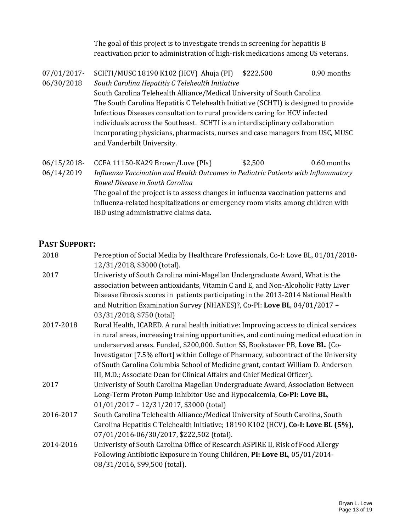The goal of this project is to investigate trends in screening for hepatitis B reactivation prior to administration of high-risk medications among US veterans.

- 07/01/2017- 06/30/2018 SCHTI/MUSC 18190 K102 (HCV) Ahuja (PI) \$222,500 0.90 months *South Carolina Hepatitis C Telehealth Initiative* South Carolina Telehealth Alliance/Medical University of South Carolina The South Carolina Hepatitis C Telehealth Initiative (SCHTI) is designed to provide Infectious Diseases consultation to rural providers caring for HCV infected individuals across the Southeast. SCHTI is an interdisciplinary collaboration incorporating physicians, pharmacists, nurses and case managers from USC, MUSC and Vanderbilt University.
- 06/15/2018- 06/14/2019 CCFA 11150-KA29 Brown/Love (PIs)  $$2,500$  0.60 months *Influenza Vaccination and Health Outcomes in Pediatric Patients with Inflammatory Bowel Disease in South Carolina* The goal of the project is to assess changes in influenza vaccination patterns and influenza-related hospitalizations or emergency room visits among children with IBD using administrative claims data.

### **PAST SUPPORT:**

| 2018      | Perception of Social Media by Healthcare Professionals, Co-I: Love BL, 01/01/2018-     |
|-----------|----------------------------------------------------------------------------------------|
|           | 12/31/2018, \$3000 (total).                                                            |
| 2017      | Univeristy of South Carolina mini-Magellan Undergraduate Award, What is the            |
|           | association between antioxidants, Vitamin C and E, and Non-Alcoholic Fatty Liver       |
|           | Disease fibrosis scores in patients participating in the 2013-2014 National Health     |
|           | and Nutrition Examination Survey (NHANES)?, Co-PI: Love BL, 04/01/2017 -               |
|           | 03/31/2018, \$750 (total)                                                              |
| 2017-2018 | Rural Health, ICARED. A rural health initiative: Improving access to clinical services |
|           | in rural areas, increasing training opportunities, and continuing medical education in |
|           | underserved areas. Funded, \$200,000. Sutton SS, Bookstaver PB, Love BL. (Co-          |
|           | Investigator [7.5% effort] within College of Pharmacy, subcontract of the University   |
|           | of South Carolina Columbia School of Medicine grant, contact William D. Anderson       |
|           | III, M.D.; Associate Dean for Clinical Affairs and Chief Medical Officer).             |
| 2017      | Univeristy of South Carolina Magellan Undergraduate Award, Association Between         |
|           | Long-Term Proton Pump Inhibitor Use and Hypocalcemia, Co-PI: Love BL,                  |
|           | 01/01/2017 - 12/31/2017, \$3000 (total)                                                |
| 2016-2017 | South Carolina Telehealth Alliance/Medical University of South Carolina, South         |
|           | Carolina Hepatitis C Telehealth Initiative; 18190 K102 (HCV), Co-I: Love BL (5%),      |
|           | 07/01/2016-06/30/2017, \$222,502 (total).                                              |
| 2014-2016 | Univeristy of South Carolina Office of Research ASPIRE II, Risk of Food Allergy        |
|           | Following Antibiotic Exposure in Young Children, PI: Love BL, 05/01/2014-              |
|           | 08/31/2016, \$99,500 (total).                                                          |
|           |                                                                                        |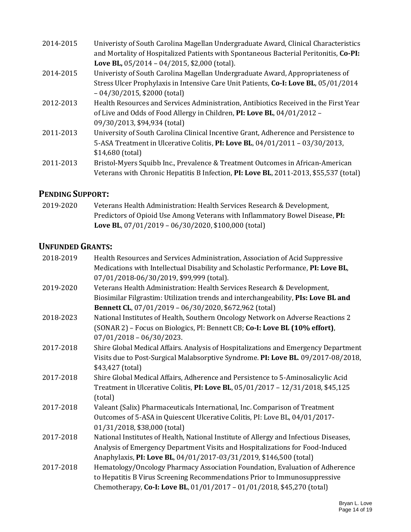| 2014-2015 | Univeristy of South Carolina Magellan Undergraduate Award, Clinical Characteristics<br>and Mortality of Hospitalized Patients with Spontaneous Bacterial Peritonitis, Co-PI: |
|-----------|------------------------------------------------------------------------------------------------------------------------------------------------------------------------------|
|           | Love BL, $05/2014 - 04/2015$ , \$2,000 (total).                                                                                                                              |
| 2014-2015 | Univeristy of South Carolina Magellan Undergraduate Award, Appropriateness of                                                                                                |
|           | Stress Ulcer Prophylaxis in Intensive Care Unit Patients, Co-I: Love BL, 05/01/2014                                                                                          |
|           | $-04/30/2015$ , \$2000 (total)                                                                                                                                               |
| 2012-2013 | Health Resources and Services Administration, Antibiotics Received in the First Year                                                                                         |
|           | of Live and Odds of Food Allergy in Children, PI: Love BL, 04/01/2012 -                                                                                                      |
|           | 09/30/2013, \$94,934 (total)                                                                                                                                                 |
| 2011-2013 | University of South Carolina Clinical Incentive Grant, Adherence and Persistence to                                                                                          |
|           | 5-ASA Treatment in Ulcerative Colitis, PI: Love BL, $04/01/2011 - 03/30/2013$ ,                                                                                              |
|           | \$14,680 (total)                                                                                                                                                             |
| 2011-2013 | Bristol-Myers Squibb Inc., Prevalence & Treatment Outcomes in African-American                                                                                               |
|           | Veterans with Chronic Hepatitis B Infection, PI: Love BL, 2011-2013, \$55,537 (total)                                                                                        |

## **PENDING SUPPORT:**

2019-2020 Veterans Health Administration: Health Services Research & Development, Predictors of Opioid Use Among Veterans with Inflammatory Bowel Disease, **PI: Love BL**, 07/01/2019 – 06/30/2020, \$100,000 (total)

# **UNFUNDED GRANTS:**

| 2018-2019 | Health Resources and Services Administration, Association of Acid Suppressive         |
|-----------|---------------------------------------------------------------------------------------|
|           | Medications with Intellectual Disability and Scholastic Performance, PI: Love BL,     |
|           | 07/01/2018-06/30/2019, \$99,999 (total).                                              |
| 2019-2020 | Veterans Health Administration: Health Services Research & Development,               |
|           | Biosimilar Filgrastim: Utilization trends and interchangeability, PIs: Love BL and    |
|           | Bennett CL, 07/01/2019 - 06/30/2020, \$672,962 (total)                                |
| 2018-2023 | National Institutes of Health, Southern Oncology Network on Adverse Reactions 2       |
|           | (SONAR 2) - Focus on Biologics, PI: Bennett CB; Co-I: Love BL (10% effort),           |
|           | $07/01/2018 - 06/30/2023.$                                                            |
| 2017-2018 | Shire Global Medical Affairs. Analysis of Hospitalizations and Emergency Department   |
|           | Visits due to Post-Surgical Malabsorptive Syndrome. PI: Love BL. 09/2017-08/2018,     |
|           | \$43,427 (total)                                                                      |
| 2017-2018 | Shire Global Medical Affairs, Adherence and Persistence to 5-Aminosalicylic Acid      |
|           | Treatment in Ulcerative Colitis, PI: Love BL, 05/01/2017 - 12/31/2018, \$45,125       |
|           | (total)                                                                               |
| 2017-2018 | Valeant (Salix) Pharmaceuticals International, Inc. Comparison of Treatment           |
|           | Outcomes of 5-ASA in Quiescent Ulcerative Colitis, PI: Love BL, 04/01/2017-           |
|           | 01/31/2018, \$38,000 (total)                                                          |
| 2017-2018 | National Institutes of Health, National Institute of Allergy and Infectious Diseases, |
|           | Analysis of Emergency Department Visits and Hospitalizations for Food-Induced         |
|           | Anaphylaxis, PI: Love BL, 04/01/2017-03/31/2019, \$146,500 (total)                    |
| 2017-2018 | Hematology/Oncology Pharmacy Association Foundation, Evaluation of Adherence          |
|           | to Hepatitis B Virus Screening Recommendations Prior to Immunosuppressive             |
|           | Chemotherapy, Co-I: Love BL, 01/01/2017 - 01/01/2018, \$45,270 (total)                |
|           |                                                                                       |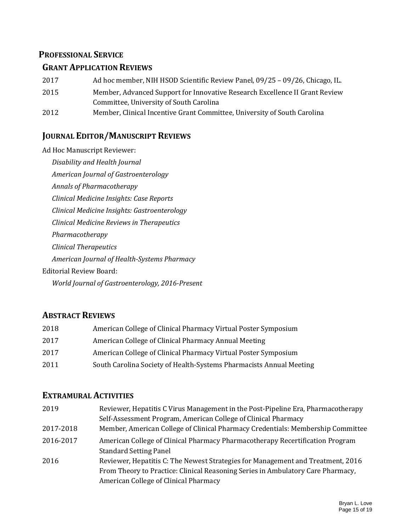#### **PROFESSIONAL SERVICE**

#### **GRANT APPLICATION REVIEWS**

- 2017 Ad hoc member, NIH HSOD Scientific Review Panel, 09/25 09/26, Chicago, IL.
- 2015 Member, Advanced Support for Innovative Research Excellence II Grant Review Committee, University of South Carolina
- 2012 Member, Clinical Incentive Grant Committee, University of South Carolina

### **JOURNAL EDITOR/MANUSCRIPT REVIEWS**

Ad Hoc Manuscript Reviewer:

*Disability and Health Journal American Journal of Gastroenterology Annals of Pharmacotherapy Clinical Medicine Insights: Case Reports Clinical Medicine Insights: Gastroenterology Clinical Medicine Reviews in Therapeutics Pharmacotherapy Clinical Therapeutics American Journal of Health-Systems Pharmacy* Editorial Review Board: *World Journal of Gastroenterology, 2016-Present*

### **ABSTRACT REVIEWS**

| 2018 | American College of Clinical Pharmacy Virtual Poster Symposium      |
|------|---------------------------------------------------------------------|
| 2017 | American College of Clinical Pharmacy Annual Meeting                |
| 2017 | American College of Clinical Pharmacy Virtual Poster Symposium      |
| 2011 | South Carolina Society of Health-Systems Pharmacists Annual Meeting |

### **EXTRAMURAL ACTIVITIES**

| 2019      | Reviewer, Hepatitis C Virus Management in the Post-Pipeline Era, Pharmacotherapy<br>Self-Assessment Program, American College of Clinical Pharmacy                                                          |
|-----------|-------------------------------------------------------------------------------------------------------------------------------------------------------------------------------------------------------------|
| 2017-2018 | Member, American College of Clinical Pharmacy Credentials: Membership Committee                                                                                                                             |
| 2016-2017 | American College of Clinical Pharmacy Pharmacotherapy Recertification Program<br><b>Standard Setting Panel</b>                                                                                              |
| 2016      | Reviewer, Hepatitis C: The Newest Strategies for Management and Treatment, 2016<br>From Theory to Practice: Clinical Reasoning Series in Ambulatory Care Pharmacy,<br>American College of Clinical Pharmacy |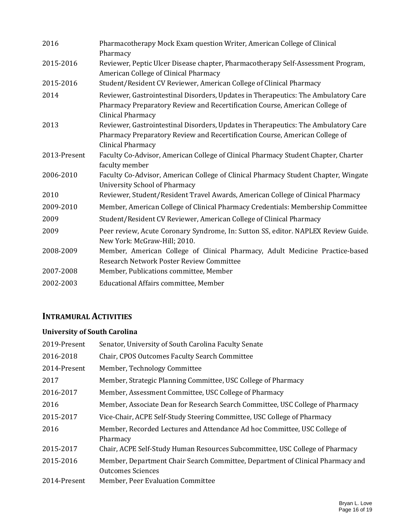| 2016         | Pharmacotherapy Mock Exam question Writer, American College of Clinical<br>Pharmacy                                                                                                    |
|--------------|----------------------------------------------------------------------------------------------------------------------------------------------------------------------------------------|
| 2015-2016    | Reviewer, Peptic Ulcer Disease chapter, Pharmacotherapy Self-Assessment Program,<br>American College of Clinical Pharmacy                                                              |
| 2015-2016    | Student/Resident CV Reviewer, American College of Clinical Pharmacy                                                                                                                    |
| 2014         | Reviewer, Gastrointestinal Disorders, Updates in Therapeutics: The Ambulatory Care<br>Pharmacy Preparatory Review and Recertification Course, American College of<br>Clinical Pharmacy |
| 2013         | Reviewer, Gastrointestinal Disorders, Updates in Therapeutics: The Ambulatory Care<br>Pharmacy Preparatory Review and Recertification Course, American College of<br>Clinical Pharmacy |
| 2013-Present | Faculty Co-Advisor, American College of Clinical Pharmacy Student Chapter, Charter<br>faculty member                                                                                   |
| 2006-2010    | Faculty Co-Advisor, American College of Clinical Pharmacy Student Chapter, Wingate<br><b>University School of Pharmacy</b>                                                             |
| 2010         | Reviewer, Student/Resident Travel Awards, American College of Clinical Pharmacy                                                                                                        |
| 2009-2010    | Member, American College of Clinical Pharmacy Credentials: Membership Committee                                                                                                        |
| 2009         | Student/Resident CV Reviewer, American College of Clinical Pharmacy                                                                                                                    |
| 2009         | Peer review, Acute Coronary Syndrome, In: Sutton SS, editor. NAPLEX Review Guide.<br>New York: McGraw-Hill; 2010.                                                                      |
| 2008-2009    | Member, American College of Clinical Pharmacy, Adult Medicine Practice-based<br>Research Network Poster Review Committee                                                               |
| 2007-2008    | Member, Publications committee, Member                                                                                                                                                 |
| 2002-2003    | Educational Affairs committee, Member                                                                                                                                                  |

# **INTRAMURAL ACTIVITIES**

#### **University of South Carolina**

| 2019-Present | Senator, University of South Carolina Faculty Senate                                                       |
|--------------|------------------------------------------------------------------------------------------------------------|
| 2016-2018    | Chair, CPOS Outcomes Faculty Search Committee                                                              |
| 2014-Present | Member, Technology Committee                                                                               |
| 2017         | Member, Strategic Planning Committee, USC College of Pharmacy                                              |
| 2016-2017    | Member, Assessment Committee, USC College of Pharmacy                                                      |
| 2016         | Member, Associate Dean for Research Search Committee, USC College of Pharmacy                              |
| 2015-2017    | Vice-Chair, ACPE Self-Study Steering Committee, USC College of Pharmacy                                    |
| 2016         | Member, Recorded Lectures and Attendance Ad hoc Committee, USC College of<br>Pharmacy                      |
| 2015-2017    | Chair, ACPE Self-Study Human Resources Subcommittee, USC College of Pharmacy                               |
| 2015-2016    | Member, Department Chair Search Committee, Department of Clinical Pharmacy and<br><b>Outcomes Sciences</b> |
| 2014-Present | Member, Peer Evaluation Committee                                                                          |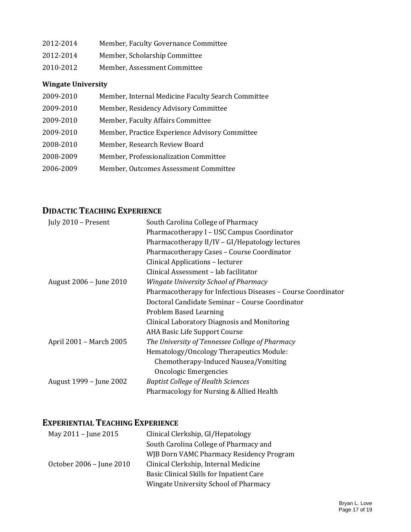| 2012-2014 | Member, Faculty Governance Committee |
|-----------|--------------------------------------|
| 2012-2014 | Member, Scholarship Committee        |
| 2010-2012 | Member, Assessment Committee         |

### **Wingate University**

| 2009-2010 | Member, Internal Medicine Faculty Search Committee |
|-----------|----------------------------------------------------|
| 2009-2010 | Member, Residency Advisory Committee               |
| 2009-2010 | Member, Faculty Affairs Committee                  |
| 2009-2010 | Member, Practice Experience Advisory Committee     |
| 2008-2010 | Member, Research Review Board                      |
| 2008-2009 | Member, Professionalization Committee              |
| 2006-2009 | Member, Outcomes Assessment Committee              |

# **DIDACTIC TEACHING EXPERIENCE**

| July 2010 - Present     | South Carolina College of Pharmacy                           |
|-------------------------|--------------------------------------------------------------|
|                         | Pharmacotherapy I – USC Campus Coordinator                   |
|                         | Pharmacotherapy II/IV - GI/Hepatology lectures               |
|                         | Pharmacotherapy Cases - Course Coordinator                   |
|                         | Clinical Applications - lecturer                             |
|                         | Clinical Assessment - lab facilitator                        |
| August 2006 - June 2010 | <b>Wingate University School of Pharmacy</b>                 |
|                         | Pharmacotherapy for Infectious Diseases - Course Coordinator |
|                         | Doctoral Candidate Seminar – Course Coordinator              |
|                         | Problem Based Learning                                       |
|                         | Clinical Laboratory Diagnosis and Monitoring                 |
|                         | AHA Basic Life Support Course                                |
| April 2001 – March 2005 | The University of Tennessee College of Pharmacy              |
|                         | Hematology/Oncology Therapeutics Module:                     |
|                         | Chemotherapy-Induced Nausea/Vomiting                         |
|                         | Oncologic Emergencies                                        |
| August 1999 – June 2002 | <b>Baptist College of Health Sciences</b>                    |
|                         | Pharmacology for Nursing & Allied Health                     |

# **EXPERIENTIAL TEACHING EXPERIENCE**

| May 2011 - June 2015     | Clinical Clerkship, GI/Hepatology        |
|--------------------------|------------------------------------------|
|                          | South Carolina College of Pharmacy and   |
|                          | WJB Dorn VAMC Pharmacy Residency Program |
| October 2006 - June 2010 | Clinical Clerkship, Internal Medicine    |
|                          | Basic Clinical Skills for Inpatient Care |
|                          | Wingate University School of Pharmacy    |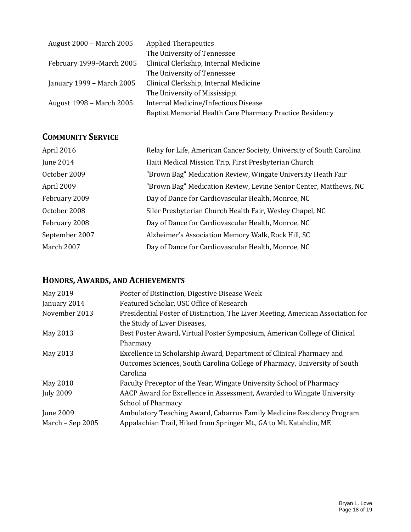| August 2000 – March 2005  | <b>Applied Therapeutics</b>                              |
|---------------------------|----------------------------------------------------------|
|                           | The University of Tennessee                              |
| February 1999–March 2005  | Clinical Clerkship, Internal Medicine                    |
|                           | The University of Tennessee                              |
| January 1999 – March 2005 | Clinical Clerkship, Internal Medicine                    |
|                           | The University of Mississippi                            |
| August 1998 – March 2005  | Internal Medicine/Infectious Disease                     |
|                           | Baptist Memorial Health Care Pharmacy Practice Residency |

# **COMMUNITY SERVICE**

| Relay for Life, American Cancer Society, University of South Carolina |
|-----------------------------------------------------------------------|
| Haiti Medical Mission Trip, First Presbyterian Church                 |
| "Brown Bag" Medication Review, Wingate University Heath Fair          |
| "Brown Bag" Medication Review, Levine Senior Center, Matthews, NC     |
| Day of Dance for Cardiovascular Health, Monroe, NC                    |
| Siler Presbyterian Church Health Fair, Wesley Chapel, NC              |
| Day of Dance for Cardiovascular Health, Monroe, NC                    |
| Alzheimer's Association Memory Walk, Rock Hill, SC                    |
| Day of Dance for Cardiovascular Health, Monroe, NC                    |
|                                                                       |

# **HONORS, AWARDS, AND ACHIEVEMENTS**

| May 2019         | Poster of Distinction, Digestive Disease Week                                   |
|------------------|---------------------------------------------------------------------------------|
| January 2014     | Featured Scholar, USC Office of Research                                        |
| November 2013    | Presidential Poster of Distinction, The Liver Meeting, American Association for |
|                  | the Study of Liver Diseases,                                                    |
| May 2013         | Best Poster Award, Virtual Poster Symposium, American College of Clinical       |
|                  | Pharmacy                                                                        |
| May 2013         | Excellence in Scholarship Award, Department of Clinical Pharmacy and            |
|                  | Outcomes Sciences, South Carolina College of Pharmacy, University of South      |
|                  | Carolina                                                                        |
| May 2010         | Faculty Preceptor of the Year, Wingate University School of Pharmacy            |
| <b>July 2009</b> | AACP Award for Excellence in Assessment, Awarded to Wingate University          |
|                  | <b>School of Pharmacy</b>                                                       |
| June 2009        | Ambulatory Teaching Award, Cabarrus Family Medicine Residency Program           |
| March - Sep 2005 | Appalachian Trail, Hiked from Springer Mt., GA to Mt. Katahdin, ME              |
|                  |                                                                                 |